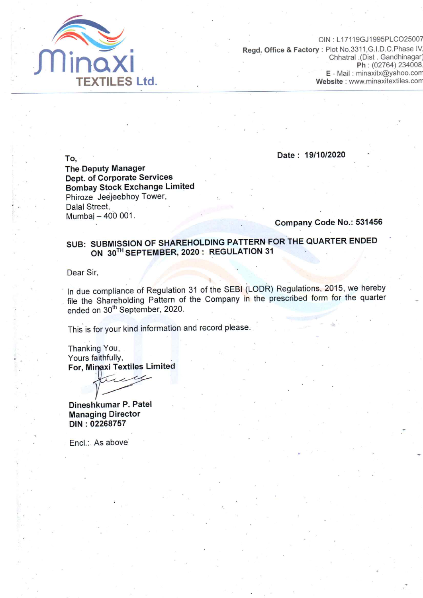

CIN: L17119GJ1995PLCO25007 Regd. Office & Factory : Plot No.3311, G.I.D.C. Phase IV Chhatral .(Dist . Gandhinagar) Ph: (02764) 234008 E - Mail : minaxitx@yahoo.com Website: www.minaxitextiles.com

To.

Date: 19/10/2020

**The Deputy Manager Dept. of Corporate Services Bombay Stock Exchange Limited** Phiroze Jeejeebhoy Tower, Dalal Street, Mumbaj - 400 001.

Company Code No.: 531456

## SUB: SUBMISSION OF SHAREHOLDING PATTERN FOR THE QUARTER ENDED ON 30TH SEPTEMBER, 2020 : REGULATION 31

Dear Sir,

In due compliance of Regulation 31 of the SEBI (LODR) Regulations, 2015, we hereby file the Shareholding Pattern of the Company in the prescribed form for the quarter ended on 30<sup>th</sup> September, 2020.

This is for your kind information and record please.

Thanking You, Yours faithfully, For, Minaxi Textiles Limited

,  $cc$ 

Dineshkumar P. Patel **Managing Director** DIN: 02268757

Encl.: As above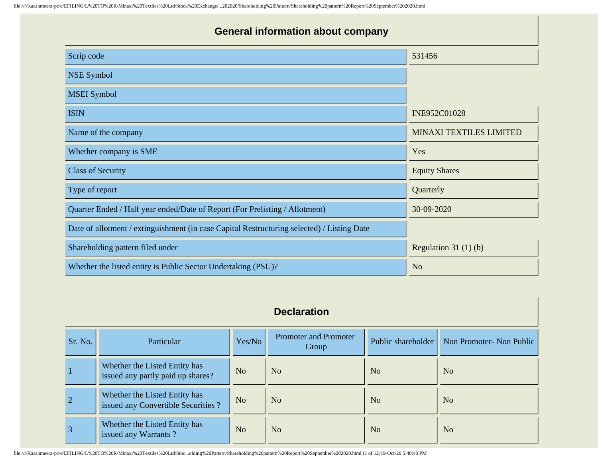| <b>General information about company</b>                                                   |                         |  |  |  |  |  |  |  |
|--------------------------------------------------------------------------------------------|-------------------------|--|--|--|--|--|--|--|
| Scrip code                                                                                 | 531456                  |  |  |  |  |  |  |  |
| <b>NSE Symbol</b>                                                                          |                         |  |  |  |  |  |  |  |
| <b>MSEI</b> Symbol                                                                         |                         |  |  |  |  |  |  |  |
| <b>ISIN</b>                                                                                | INE952C01028            |  |  |  |  |  |  |  |
| Name of the company                                                                        | MINAXI TEXTILES LIMITED |  |  |  |  |  |  |  |
| Whether company is SME                                                                     | Yes                     |  |  |  |  |  |  |  |
| <b>Class of Security</b>                                                                   | <b>Equity Shares</b>    |  |  |  |  |  |  |  |
| Type of report                                                                             | Quarterly               |  |  |  |  |  |  |  |
| Quarter Ended / Half year ended/Date of Report (For Prelisting / Allotment)                | 30-09-2020              |  |  |  |  |  |  |  |
| Date of allotment / extinguishment (in case Capital Restructuring selected) / Listing Date |                         |  |  |  |  |  |  |  |
| Shareholding pattern filed under                                                           | Regulation 31 $(1)(b)$  |  |  |  |  |  |  |  |
| Whether the listed entity is Public Sector Undertaking (PSU)?                              | N <sub>o</sub>          |  |  |  |  |  |  |  |

## **Declaration**

| Sr. No.        | Particular                                                           | Yes/No         | Promoter and Promoter<br>Group | Public shareholder | Non Promoter- Non Public |
|----------------|----------------------------------------------------------------------|----------------|--------------------------------|--------------------|--------------------------|
|                | Whether the Listed Entity has<br>issued any partly paid up shares?   | N <sub>o</sub> | N <sub>o</sub>                 | N <sub>o</sub>     | N <sub>o</sub>           |
| $\sqrt{2}$     | Whether the Listed Entity has<br>issued any Convertible Securities ? | N <sub>o</sub> | N <sub>o</sub>                 | N <sub>o</sub>     | N <sub>o</sub>           |
| $\overline{3}$ | Whether the Listed Entity has<br>issued any Warrants?                | N <sub>o</sub> | N <sub>0</sub>                 | N <sub>o</sub>     | N <sub>o</sub>           |

file:////Kaashmeera-pc/e/EFILING/L%20TO%20R/Minaxi%20Textiles%20Ltd/Stoc...olding%20Pattern/Shareholding%20pattern%20Report%20September%202020.html (1 of 12)19-Oct-20 5:40:48 PM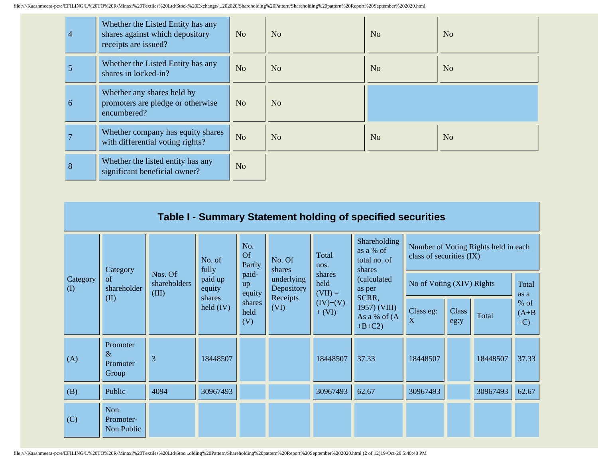| $\overline{4}$ | Whether the Listed Entity has any<br>shares against which depository<br>receipts are issued? | N <sub>o</sub> | N <sub>o</sub> | No             | N <sub>o</sub> |
|----------------|----------------------------------------------------------------------------------------------|----------------|----------------|----------------|----------------|
|                | Whether the Listed Entity has any<br>shares in locked-in?                                    | N <sub>o</sub> | N <sub>o</sub> | N <sub>o</sub> | N <sub>o</sub> |
| 6              | Whether any shares held by<br>promoters are pledge or otherwise<br>encumbered?               | N <sub>o</sub> | N <sub>o</sub> |                |                |
|                | Whether company has equity shares<br>with differential voting rights?                        | N <sub>o</sub> | N <sub>o</sub> | No             | N <sub>o</sub> |
| 8              | Whether the listed entity has any<br>significant beneficial owner?                           | N <sub>o</sub> |                |                |                |

|                 | Table I - Summary Statement holding of specified securities   |                   |                       |                          |                             |                        |                                                     |                                                                  |               |               |                             |
|-----------------|---------------------------------------------------------------|-------------------|-----------------------|--------------------------|-----------------------------|------------------------|-----------------------------------------------------|------------------------------------------------------------------|---------------|---------------|-----------------------------|
|                 | Category                                                      |                   | No. of<br>fully       | No.<br>Of<br>Partly      | No. Of<br>shares            | Total<br>nos.          | Shareholding<br>as a % of<br>total no. of<br>shares | Number of Voting Rights held in each<br>class of securities (IX) |               |               |                             |
| Category<br>(I) | Nos. Of<br>of<br>shareholders<br>shareholder<br>(III)<br>(II) | paid up<br>equity | paid-<br>up<br>equity | underlying<br>Depository | shares<br>held<br>$(VII) =$ | (calculated<br>as per  | No of Voting (XIV) Rights                           |                                                                  |               | Total<br>as a |                             |
|                 |                                                               |                   | shares<br>held $(IV)$ | shares<br>held<br>(V)    | Receipts<br>(VI)            | $(IV)+(V)$<br>$+ (VI)$ | SCRR,<br>1957) (VIII)<br>As a % of (A<br>$+B+C2$    | Class eg:<br>X                                                   | Class<br>eg:y | Total         | $%$ of<br>$(A+B)$<br>$+C$ ) |
| (A)             | Promoter<br>$\&$<br>Promoter<br>Group                         | 3                 | 18448507              |                          |                             | 18448507               | 37.33                                               | 18448507                                                         |               | 18448507      | 37.33                       |
| (B)             | Public                                                        | 4094              | 30967493              |                          |                             | 30967493               | 62.67                                               | 30967493                                                         |               | 30967493      | 62.67                       |
| (C)             | Non<br>Promoter-<br>Non Public                                |                   |                       |                          |                             |                        |                                                     |                                                                  |               |               |                             |

file:////Kaashmeera-pc/e/EFILING/L%20TO%20R/Minaxi%20Textiles%20Ltd/Stoc...olding%20Pattern/Shareholding%20pattern%20Report%20September%202020.html (2 of 12)19-Oct-20 5:40:48 PM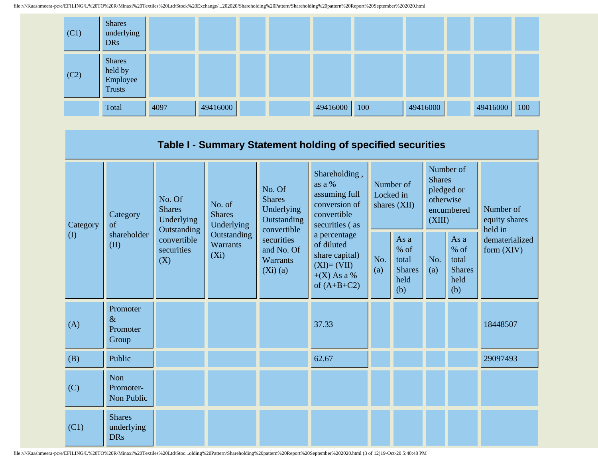

|                 |                                                                         |                                                                   |                                       |                                                                                                                                  | Table I - Summary Statement holding of specified securities                                    |                                          |                                                         |                                                                               |                                                       |                                       |  |
|-----------------|-------------------------------------------------------------------------|-------------------------------------------------------------------|---------------------------------------|----------------------------------------------------------------------------------------------------------------------------------|------------------------------------------------------------------------------------------------|------------------------------------------|---------------------------------------------------------|-------------------------------------------------------------------------------|-------------------------------------------------------|---------------------------------------|--|
| Category<br>(I) | No. Of<br><b>Shares</b><br>Category<br>of<br>shareholder<br>(II)<br>(X) | Underlying<br>Outstanding<br>convertible<br>securities<br>$(X_i)$ | No. of<br><b>Shares</b><br>Underlying | No. Of<br><b>Shares</b><br>Underlying<br>Outstanding<br>convertible<br>securities<br>and No. Of<br><b>Warrants</b><br>$(Xi)$ (a) | Shareholding,<br>as a %<br>assuming full<br>conversion of<br>convertible<br>securities (as     | Number of<br>Locked in<br>shares $(XII)$ |                                                         | Number of<br><b>Shares</b><br>pledged or<br>otherwise<br>encumbered<br>(XIII) |                                                       | Number of<br>equity shares<br>held in |  |
|                 |                                                                         |                                                                   | Outstanding<br><b>Warrants</b>        |                                                                                                                                  | a percentage<br>of diluted<br>share capital)<br>$(XI)=(VII)$<br>$+(X)$ As a %<br>of $(A+B+C2)$ | No.<br>(a)                               | As a<br>$%$ of<br>total<br><b>Shares</b><br>held<br>(b) | No.<br>(a)                                                                    | As a<br>% of<br>total<br><b>Shares</b><br>held<br>(b) | dematerialized<br>form (XIV)          |  |
| (A)             | Promoter<br>$\&$<br>Promoter<br>Group                                   |                                                                   |                                       |                                                                                                                                  | 37.33                                                                                          |                                          |                                                         |                                                                               |                                                       | 18448507                              |  |
| (B)             | Public                                                                  |                                                                   |                                       |                                                                                                                                  | 62.67                                                                                          |                                          |                                                         |                                                                               |                                                       | 29097493                              |  |
| (C)             | Non<br>Promoter-<br>Non Public                                          |                                                                   |                                       |                                                                                                                                  |                                                                                                |                                          |                                                         |                                                                               |                                                       |                                       |  |
| (C1)            | <b>Shares</b><br>underlying<br><b>DRs</b>                               |                                                                   |                                       |                                                                                                                                  |                                                                                                |                                          |                                                         |                                                                               |                                                       |                                       |  |

file:////Kaashmeera-pc/e/EFILING/L%20TO%20R/Minaxi%20Textiles%20Ltd/Stoc...olding%20Pattern/Shareholding%20pattern%20Report%20September%202020.html (3 of 12)19-Oct-20 5:40:48 PM

- 1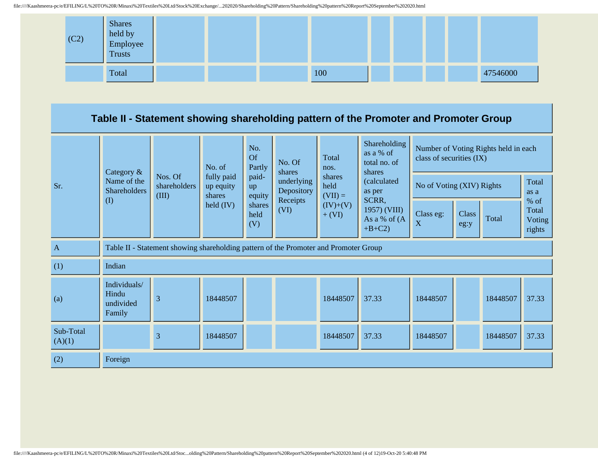

## **Table II - Statement showing shareholding pattern of the Promoter and Promoter Group**

|                     | Category $\&$                                                                        |                                  | No. of                            | No.<br><b>Of</b><br>Partly<br>paid-<br>up<br>equity | No. Of<br>shares<br>underlying<br>Depository<br>Receipts | Total<br>nos.               | Shareholding<br>as a % of<br>total no. of<br>shares | Number of Voting Rights held in each<br>class of securities (IX) |               |               |                                   |
|---------------------|--------------------------------------------------------------------------------------|----------------------------------|-----------------------------------|-----------------------------------------------------|----------------------------------------------------------|-----------------------------|-----------------------------------------------------|------------------------------------------------------------------|---------------|---------------|-----------------------------------|
| Sr.                 | Name of the<br><b>Shareholders</b>                                                   | Nos. Of<br>shareholders<br>(III) | fully paid<br>up equity<br>shares |                                                     |                                                          | shares<br>held<br>$(VII) =$ | (calculated<br>as per                               | No of Voting (XIV) Rights                                        |               | Total<br>as a |                                   |
|                     | $\rm (I)$                                                                            |                                  | held $(IV)$                       | shares<br>held<br>(V)                               | (VI)                                                     | $(IV)+(V)$<br>$+ (VI)$      | SCRR,<br>1957) (VIII)<br>As a % of $(A)$<br>$+B+C2$ | Class eg:<br>X                                                   | Class<br>eg:y | Total         | % of<br>Total<br>Voting<br>rights |
| $\mathbf{A}$        | Table II - Statement showing shareholding pattern of the Promoter and Promoter Group |                                  |                                   |                                                     |                                                          |                             |                                                     |                                                                  |               |               |                                   |
| (1)                 | Indian                                                                               |                                  |                                   |                                                     |                                                          |                             |                                                     |                                                                  |               |               |                                   |
| (a)                 | Individuals/<br>Hindu<br>undivided<br>Family                                         | 3                                | 18448507                          |                                                     |                                                          | 18448507                    | 37.33                                               | 18448507                                                         |               | 18448507      | 37.33                             |
| Sub-Total<br>(A)(1) |                                                                                      | 3                                | 18448507                          |                                                     |                                                          | 18448507                    | 37.33                                               | 18448507                                                         |               | 18448507      | 37.33                             |
| (2)                 | Foreign                                                                              |                                  |                                   |                                                     |                                                          |                             |                                                     |                                                                  |               |               |                                   |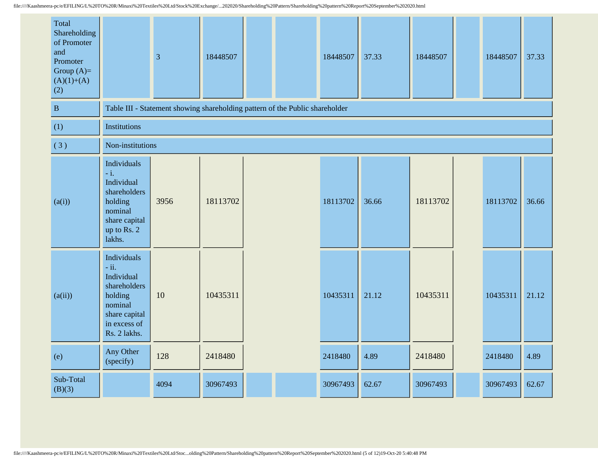| Total<br>Shareholding<br>of Promoter<br>and<br>Promoter<br>Group $(A)=$<br>$(A)(1)+(A)$<br>(2) |                                                                                                                            | $\overline{3}$ | 18448507 |                                                                              | 18448507 | 37.33 | 18448507 | 18448507 | 37.33 |
|------------------------------------------------------------------------------------------------|----------------------------------------------------------------------------------------------------------------------------|----------------|----------|------------------------------------------------------------------------------|----------|-------|----------|----------|-------|
| $\, {\bf B}$                                                                                   |                                                                                                                            |                |          | Table III - Statement showing shareholding pattern of the Public shareholder |          |       |          |          |       |
| (1)                                                                                            | <b>Institutions</b>                                                                                                        |                |          |                                                                              |          |       |          |          |       |
| (3)                                                                                            | Non-institutions                                                                                                           |                |          |                                                                              |          |       |          |          |       |
| (a(i))                                                                                         | Individuals<br>$-i.$<br>Individual<br>shareholders<br>holding<br>nominal<br>share capital<br>up to Rs. 2<br>lakhs.         | 3956           | 18113702 |                                                                              | 18113702 | 36.66 | 18113702 | 18113702 | 36.66 |
| (a(ii))                                                                                        | Individuals<br>$-ii.$<br>Individual<br>shareholders<br>holding<br>nominal<br>share capital<br>in excess of<br>Rs. 2 lakhs. | 10             | 10435311 |                                                                              | 10435311 | 21.12 | 10435311 | 10435311 | 21.12 |
| (e)                                                                                            | Any Other<br>(specify)                                                                                                     | 128            | 2418480  |                                                                              | 2418480  | 4.89  | 2418480  | 2418480  | 4.89  |
| Sub-Total<br>(B)(3)                                                                            |                                                                                                                            | 4094           | 30967493 |                                                                              | 30967493 | 62.67 | 30967493 | 30967493 | 62.67 |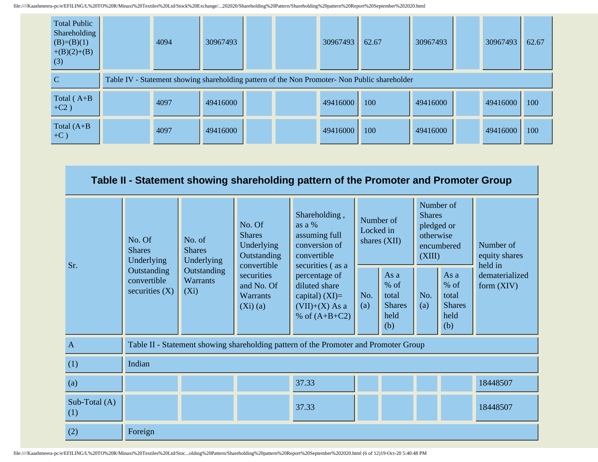| <b>Total Public</b><br>Shareholding<br>$(B)=(B)(1)$<br>$+(B)(2)+(B)$<br>(3) | 4094 | 30967493 |  | 30967493 | 62.67                                                                                         | 30967493 | 30967493 | 62.67 |
|-----------------------------------------------------------------------------|------|----------|--|----------|-----------------------------------------------------------------------------------------------|----------|----------|-------|
| C                                                                           |      |          |  |          | Table IV - Statement showing shareholding pattern of the Non Promoter- Non Public shareholder |          |          |       |
| Total $(A+B$<br>$+C2)$                                                      | 4097 | 49416000 |  | 49416000 | 100                                                                                           | 49416000 | 49416000 | 100   |
| Total $(A+B)$<br>$+C$ )                                                     | 4097 | 49416000 |  | 49416000 | 100                                                                                           | 49416000 | 49416000 | 100   |

|                      |                                                |                                           |                                                                     | Table II - Statement showing shareholding pattern of the Promoter and Promoter Group         |            |                                                         |            |                                                                               |                                       |  |
|----------------------|------------------------------------------------|-------------------------------------------|---------------------------------------------------------------------|----------------------------------------------------------------------------------------------|------------|---------------------------------------------------------|------------|-------------------------------------------------------------------------------|---------------------------------------|--|
| Sr.                  | No. Of<br><b>Shares</b><br>Underlying          | No. of<br><b>Shares</b><br>Underlying     | No. Of<br><b>Shares</b><br>Underlying<br>Outstanding<br>convertible | Shareholding,<br>as a %<br>assuming full<br>conversion of<br>convertible<br>securities (as a |            | Number of<br>Locked in<br>shares $(XII)$                |            | Number of<br><b>Shares</b><br>pledged or<br>otherwise<br>encumbered<br>(XIII) | Number of<br>equity shares<br>held in |  |
|                      | Outstanding<br>convertible<br>securities $(X)$ | Outstanding<br><b>Warrants</b><br>$(X_i)$ |                                                                     | percentage of<br>diluted share<br>capital) $(XI)=$<br>$(VII)+(X)$ As a<br>% of $(A+B+C2)$    | No.<br>(a) | As a<br>$%$ of<br>total<br><b>Shares</b><br>held<br>(b) | No.<br>(a) | As a<br>$%$ of<br>total<br><b>Shares</b><br>held<br>(b)                       | dematerialized<br>form $(XIV)$        |  |
| $\mathbf{A}$         |                                                |                                           |                                                                     | Table II - Statement showing shareholding pattern of the Promoter and Promoter Group         |            |                                                         |            |                                                                               |                                       |  |
| (1)                  | Indian                                         |                                           |                                                                     |                                                                                              |            |                                                         |            |                                                                               |                                       |  |
| (a)                  |                                                |                                           |                                                                     | 37.33                                                                                        |            |                                                         |            |                                                                               | 18448507                              |  |
| Sub-Total (A)<br>(1) |                                                |                                           |                                                                     | 37.33                                                                                        |            |                                                         |            |                                                                               | 18448507                              |  |
| (2)                  | Foreign                                        |                                           |                                                                     |                                                                                              |            |                                                         |            |                                                                               |                                       |  |

file:////Kaashmeera-pc/e/EFILING/L%20TO%20R/Minaxi%20Textiles%20Ltd/Stoc...olding%20Pattern/Shareholding%20pattern%20Report%20September%202020.html (6 of 12)19-Oct-20 5:40:48 PM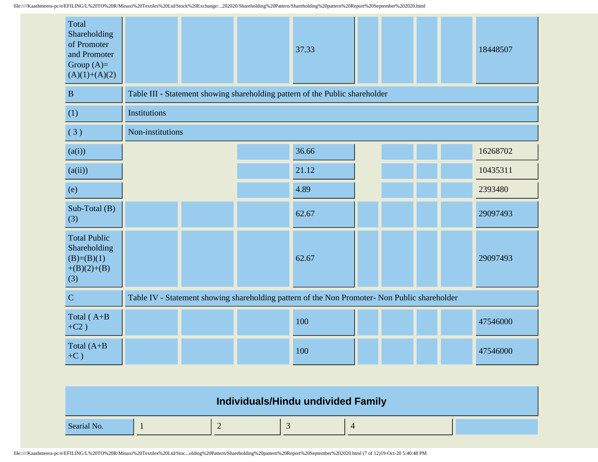| Total<br>Shareholding<br>of Promoter<br>and Promoter<br>Group $(A)=$<br>$(A)(1)+(A)(2)$ |                  |  | 37.33                                                                                         |  |  | 18448507 |
|-----------------------------------------------------------------------------------------|------------------|--|-----------------------------------------------------------------------------------------------|--|--|----------|
| $\mathbf{B}$                                                                            |                  |  | Table III - Statement showing shareholding pattern of the Public shareholder                  |  |  |          |
| (1)                                                                                     | Institutions     |  |                                                                                               |  |  |          |
| (3)                                                                                     | Non-institutions |  |                                                                                               |  |  |          |
| (a(i))                                                                                  |                  |  | 36.66                                                                                         |  |  | 16268702 |
| (a(ii))                                                                                 |                  |  | 21.12                                                                                         |  |  | 10435311 |
| (e)                                                                                     |                  |  | 4.89                                                                                          |  |  | 2393480  |
| Sub-Total (B)<br>(3)                                                                    |                  |  | 62.67                                                                                         |  |  | 29097493 |
| <b>Total Public</b><br>Shareholding<br>$(B)=(B)(1)$<br>$+(B)(2)+(B)$<br>(3)             |                  |  | 62.67                                                                                         |  |  | 29097493 |
| $\mathbf C$                                                                             |                  |  | Table IV - Statement showing shareholding pattern of the Non Promoter- Non Public shareholder |  |  |          |
| Total (A+B<br>$+C2)$                                                                    |                  |  | 100                                                                                           |  |  | 47546000 |
| Total $(A+B)$<br>$+C$ )                                                                 |                  |  | 100                                                                                           |  |  | 47546000 |

|             | Individuals/Hindu undivided Family |  |  |
|-------------|------------------------------------|--|--|
| Searial No. |                                    |  |  |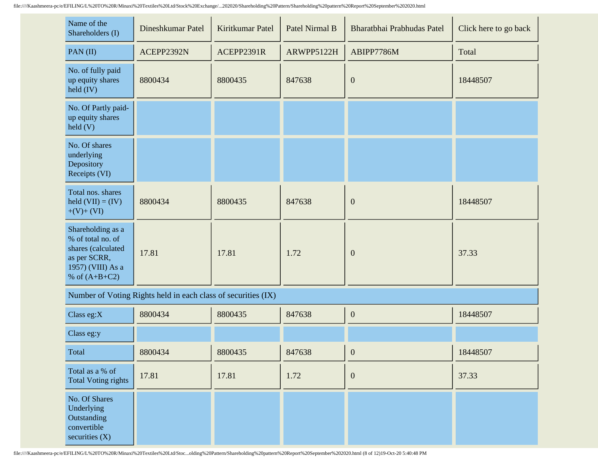| Name of the<br>Shareholders (I)                                                                                      | Dineshkumar Patel | Kiritkumar Patel | Patel Nirmal B | Bharatbhai Prabhudas Patel | Click here to go back |
|----------------------------------------------------------------------------------------------------------------------|-------------------|------------------|----------------|----------------------------|-----------------------|
| PAN(II)                                                                                                              | ACEPP2392N        | ACEPP2391R       | ARWPP5122H     | ABIPP7786M                 | Total                 |
| No. of fully paid<br>up equity shares<br>$\text{held (IV)}$                                                          | 8800434           | 8800435          | 847638         | $\boldsymbol{0}$           | 18448507              |
| No. Of Partly paid-<br>up equity shares<br>$\text{held}(V)$                                                          |                   |                  |                |                            |                       |
| No. Of shares<br>underlying<br>Depository<br>Receipts (VI)                                                           |                   |                  |                |                            |                       |
| Total nos. shares<br>held $(VII) = (IV)$<br>$+(V)+(VI)$                                                              | 8800434           | 8800435          | 847638         | $\mathbf{0}$               | 18448507              |
| Shareholding as a<br>% of total no. of<br>shares (calculated<br>as per SCRR,<br>1957) (VIII) As a<br>% of $(A+B+C2)$ | 17.81             | 17.81            | 1.72           | $\mathbf{0}$               | 37.33                 |

| Number of Voting Rights held in each class of securities (IX) |
|---------------------------------------------------------------|
|---------------------------------------------------------------|

| Class eg: $X$                                                                 | 8800434 | 8800435 | 847638 | $\boldsymbol{0}$ | 18448507 |
|-------------------------------------------------------------------------------|---------|---------|--------|------------------|----------|
| Class eg:y                                                                    |         |         |        |                  |          |
| Total                                                                         | 8800434 | 8800435 | 847638 | $\boldsymbol{0}$ | 18448507 |
| Total as a % of<br>Total Voting rights                                        | 17.81   | 17.81   | 1.72   | $\mathbf{0}$     | 37.33    |
| No. Of Shares<br>Underlying<br>Outstanding<br>convertible<br>securities $(X)$ |         |         |        |                  |          |

file:////Kaashmeera-pc/e/EFILING/L%20TO%20R/Minaxi%20Textiles%20Ltd/Stoc...olding%20Pattern/Shareholding%20pattern%20Report%20September%202020.html (8 of 12)19-Oct-20 5:40:48 PM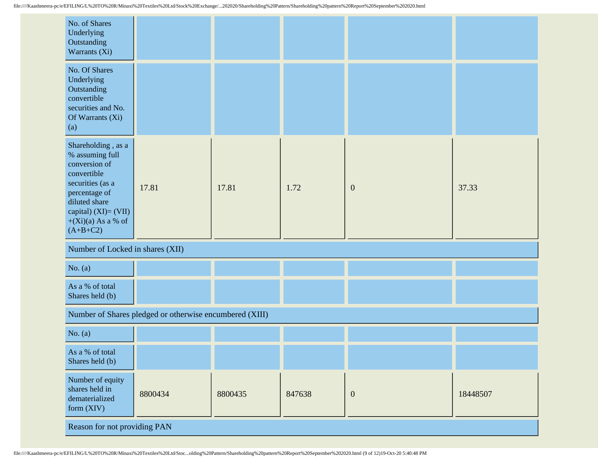| No. of Shares<br>Underlying<br>Outstanding<br>Warrants (Xi)                                                                                                                                  |                                  |         |        |                  |          |  |
|----------------------------------------------------------------------------------------------------------------------------------------------------------------------------------------------|----------------------------------|---------|--------|------------------|----------|--|
| No. Of Shares<br>Underlying<br>Outstanding<br>convertible<br>securities and No.<br>Of Warrants (Xi)<br>(a)                                                                                   |                                  |         |        |                  |          |  |
| Shareholding, as a<br>% assuming full<br>conversion of<br>convertible<br>securities (as a<br>percentage of<br>diluted share<br>capital) $(XI) = (VII)$<br>$+(Xi)(a)$ As a % of<br>$(A+B+C2)$ | 17.81                            | 17.81   | 1.72   | $\boldsymbol{0}$ | 37.33    |  |
|                                                                                                                                                                                              | Number of Locked in shares (XII) |         |        |                  |          |  |
| No. $(a)$                                                                                                                                                                                    |                                  |         |        |                  |          |  |
| As a % of total<br>Shares held (b)                                                                                                                                                           |                                  |         |        |                  |          |  |
| Number of Shares pledged or otherwise encumbered (XIII)                                                                                                                                      |                                  |         |        |                  |          |  |
| No. $(a)$                                                                                                                                                                                    |                                  |         |        |                  |          |  |
| As a % of total<br>Shares held (b)                                                                                                                                                           |                                  |         |        |                  |          |  |
| Number of equity<br>shares held in<br>dematerialized<br>form (XIV)                                                                                                                           | 8800434                          | 8800435 | 847638 | $\boldsymbol{0}$ | 18448507 |  |
| Reason for not providing PAN                                                                                                                                                                 |                                  |         |        |                  |          |  |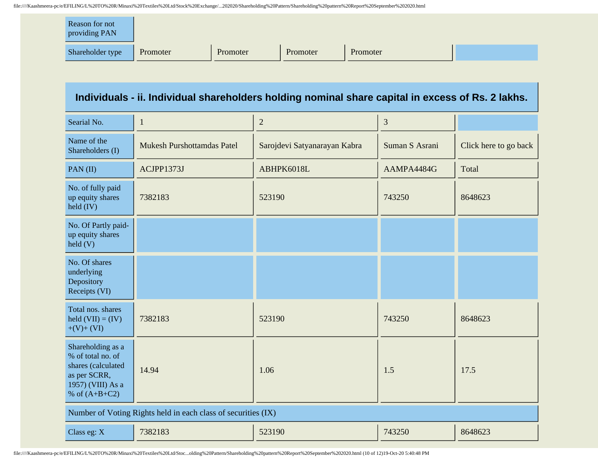| Reason for not<br>providing PAN |          |          |          |          |  |
|---------------------------------|----------|----------|----------|----------|--|
| Shareholder type                | Promoter | Promoter | Promoter | Promoter |  |

## **Individuals - ii. Individual shareholders holding nominal share capital in excess of Rs. 2 lakhs.**

| Searial No.                                                                                                          | 1                                 | $\overline{2}$               | 3              |                       |  |  |
|----------------------------------------------------------------------------------------------------------------------|-----------------------------------|------------------------------|----------------|-----------------------|--|--|
| Name of the<br>Shareholders (I)                                                                                      | <b>Mukesh Purshottamdas Patel</b> | Sarojdevi Satyanarayan Kabra | Suman S Asrani | Click here to go back |  |  |
| PAN(II)                                                                                                              | ACJPP1373J                        | ABHPK6018L                   | AAMPA4484G     | Total                 |  |  |
| No. of fully paid<br>up equity shares<br>held (IV)                                                                   | 7382183                           | 523190                       | 743250         | 8648623               |  |  |
| No. Of Partly paid-<br>up equity shares<br>$\text{held}(V)$                                                          |                                   |                              |                |                       |  |  |
| No. Of shares<br>underlying<br>Depository<br>Receipts (VI)                                                           |                                   |                              |                |                       |  |  |
| Total nos. shares<br>held $(VII) = (IV)$<br>$+(V)+(VI)$                                                              | 7382183                           | 523190                       | 743250         | 8648623               |  |  |
| Shareholding as a<br>% of total no. of<br>shares (calculated<br>as per SCRR,<br>1957) (VIII) As a<br>% of $(A+B+C2)$ | 14.94                             | 1.06                         | 1.5            | 17.5                  |  |  |
| Number of Voting Rights held in each class of securities (IX)                                                        |                                   |                              |                |                       |  |  |
| Class eg: X                                                                                                          | 7382183                           | 523190                       | 743250         | 8648623               |  |  |

file:////Kaashmeera-pc/e/EFILING/L%20TO%20R/Minaxi%20Textiles%20Ltd/Stoc...olding%20Pattern/Shareholding%20pattern%20Report%20September%202020.html (10 of 12)19-Oct-20 5:40:48 PM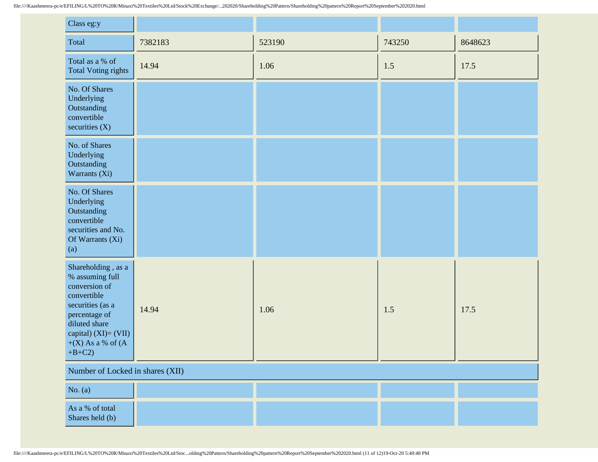| Class eg:y                                                                                                                                                                                  |                                  |        |        |         |  |
|---------------------------------------------------------------------------------------------------------------------------------------------------------------------------------------------|----------------------------------|--------|--------|---------|--|
| Total                                                                                                                                                                                       | 7382183                          | 523190 | 743250 | 8648623 |  |
| Total as a % of<br><b>Total Voting rights</b>                                                                                                                                               | 14.94                            | 1.06   | 1.5    | 17.5    |  |
| No. Of Shares<br>Underlying<br>Outstanding<br>convertible<br>securities $(X)$                                                                                                               |                                  |        |        |         |  |
| No. of Shares<br>Underlying<br>Outstanding<br>Warrants (Xi)                                                                                                                                 |                                  |        |        |         |  |
| No. Of Shares<br>Underlying<br>Outstanding<br>convertible<br>securities and No.<br>Of Warrants (Xi)<br>(a)                                                                                  |                                  |        |        |         |  |
| Shareholding, as a<br>% assuming full<br>conversion of<br>convertible<br>securities (as a<br>percentage of<br>diluted share<br>capital) $(XI) = (VII)$<br>$+(X)$ As a % of $(A)$<br>$+B+C2$ | 14.94                            | 1.06   | 1.5    | 17.5    |  |
|                                                                                                                                                                                             | Number of Locked in shares (XII) |        |        |         |  |
| No. $(a)$                                                                                                                                                                                   |                                  |        |        |         |  |
| As a % of total<br>Shares held (b)                                                                                                                                                          |                                  |        |        |         |  |